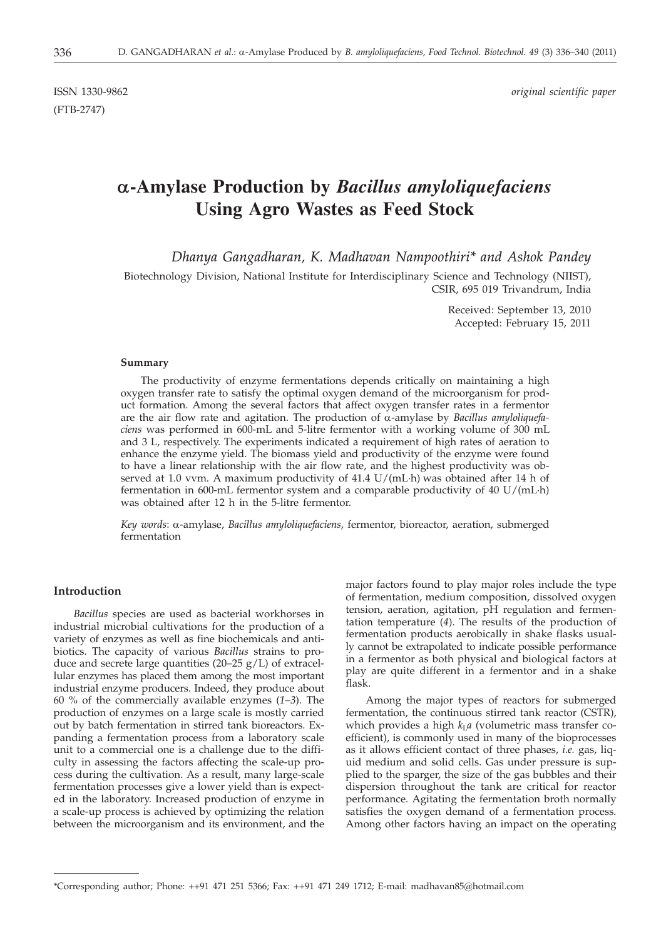(FTB-2747)

ISSN 1330-9862 *original scientific paper*

# **a-Amylase Production by** *Bacillus amyloliquefaciens* **Using Agro Wastes as Feed Stock**

*Dhanya Gangadharan, K. Madhavan Nampoothiri\* and Ashok Pandey*

Biotechnology Division, National Institute for Interdisciplinary Science and Technology (NIIST), CSIR, 695 019 Trivandrum, India

> Received: September 13, 2010 Accepted: February 15, 2011

# **Summary**

The productivity of enzyme fermentations depends critically on maintaining a high oxygen transfer rate to satisfy the optimal oxygen demand of the microorganism for product formation. Among the several factors that affect oxygen transfer rates in a fermentor are the air flow rate and agitation. The production of a-amylase by *Bacillus amyloliquefaciens* was performed in 600-mL and 5-litre fermentor with a working volume of 300 mL and 3 L, respectively. The experiments indicated a requirement of high rates of aeration to enhance the enzyme yield. The biomass yield and productivity of the enzyme were found to have a linear relationship with the air flow rate, and the highest productivity was observed at 1.0 vvm. A maximum productivity of 41.4 U/(mL·h) was obtained after 14 h of fermentation in 600-mL fermentor system and a comparable productivity of 40 U/(mL·h) was obtained after 12 h in the 5-litre fermentor.

*Key words*: a-amylase, *Bacillus amyloliquefaciens*, fermentor, bioreactor, aeration, submerged fermentation

# **Introduction**

*Bacillus* species are used as bacterial workhorses in industrial microbial cultivations for the production of a variety of enzymes as well as fine biochemicals and antibiotics. The capacity of various *Bacillus* strains to produce and secrete large quantities (20–25 g/L) of extracellular enzymes has placed them among the most important industrial enzyme producers. Indeed, they produce about 60 % of the commercially available enzymes (*1–3*). The production of enzymes on a large scale is mostly carried out by batch fermentation in stirred tank bioreactors. Expanding a fermentation process from a laboratory scale unit to a commercial one is a challenge due to the difficulty in assessing the factors affecting the scale-up process during the cultivation. As a result, many large-scale fermentation processes give a lower yield than is expected in the laboratory. Increased production of enzyme in a scale-up process is achieved by optimizing the relation between the microorganism and its environment, and the major factors found to play major roles include the type of fermentation, medium composition, dissolved oxygen tension, aeration, agitation, pH regulation and fermentation temperature (*4*). The results of the production of fermentation products aerobically in shake flasks usually cannot be extrapolated to indicate possible performance in a fermentor as both physical and biological factors at play are quite different in a fermentor and in a shake flask.

Among the major types of reactors for submerged fermentation, the continuous stirred tank reactor (CSTR), which provides a high  $k<sub>L</sub>a$  (volumetric mass transfer coefficient), is commonly used in many of the bioprocesses as it allows efficient contact of three phases, *i.e.* gas, liquid medium and solid cells. Gas under pressure is supplied to the sparger, the size of the gas bubbles and their dispersion throughout the tank are critical for reactor performance. Agitating the fermentation broth normally satisfies the oxygen demand of a fermentation process. Among other factors having an impact on the operating

<sup>\*</sup>Corresponding author; Phone: ++91 471 251 5366; Fax: ++91 471 249 1712; E-mail: madhavan85@hotmail.com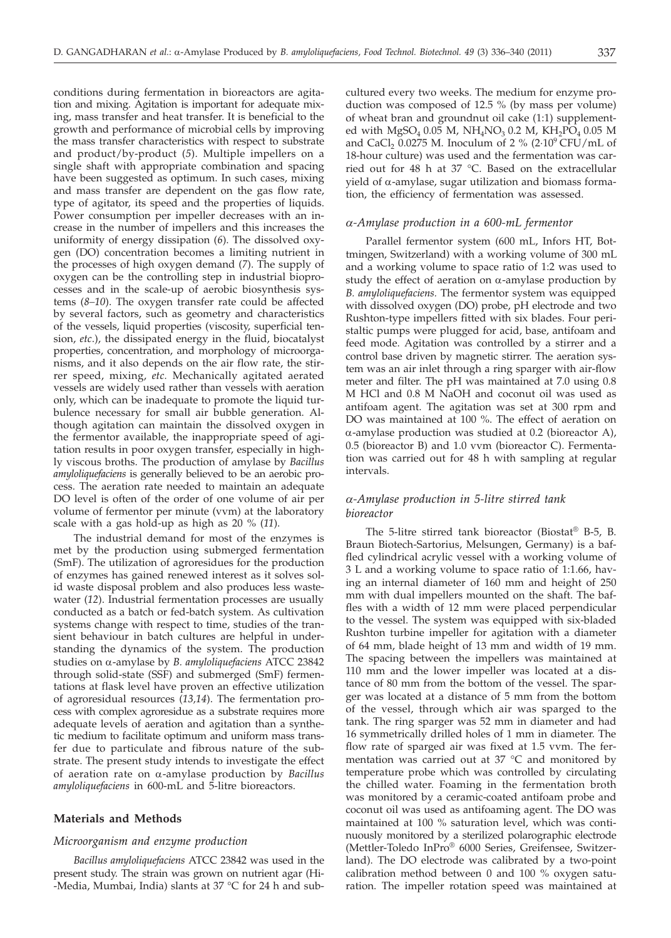conditions during fermentation in bioreactors are agitation and mixing. Agitation is important for adequate mixing, mass transfer and heat transfer. It is beneficial to the growth and performance of microbial cells by improving the mass transfer characteristics with respect to substrate and product/by-product (*5*). Multiple impellers on a single shaft with appropriate combination and spacing have been suggested as optimum. In such cases, mixing and mass transfer are dependent on the gas flow rate, type of agitator, its speed and the properties of liquids. Power consumption per impeller decreases with an increase in the number of impellers and this increases the uniformity of energy dissipation (*6*). The dissolved oxygen (DO) concentration becomes a limiting nutrient in the processes of high oxygen demand (*7*). The supply of oxygen can be the controlling step in industrial bioprocesses and in the scale-up of aerobic biosynthesis systems (*8–10*). The oxygen transfer rate could be affected by several factors, such as geometry and characteristics of the vessels, liquid properties (viscosity, superficial tension, *etc*.), the dissipated energy in the fluid, biocatalyst properties, concentration, and morphology of microorganisms, and it also depends on the air flow rate, the stirrer speed, mixing, *etc.* Mechanically agitated aerated vessels are widely used rather than vessels with aeration only, which can be inadequate to promote the liquid turbulence necessary for small air bubble generation. Although agitation can maintain the dissolved oxygen in the fermentor available, the inappropriate speed of agitation results in poor oxygen transfer, especially in highly viscous broths. The production of amylase by *Bacillus amyloliquefaciens* is generally believed to be an aerobic process. The aeration rate needed to maintain an adequate DO level is often of the order of one volume of air per volume of fermentor per minute (vvm) at the laboratory scale with a gas hold-up as high as 20 % (*11*).

The industrial demand for most of the enzymes is met by the production using submerged fermentation (SmF). The utilization of agroresidues for the production of enzymes has gained renewed interest as it solves solid waste disposal problem and also produces less wastewater (*12*). Industrial fermentation processes are usually conducted as a batch or fed-batch system. As cultivation systems change with respect to time, studies of the transient behaviour in batch cultures are helpful in understanding the dynamics of the system. The production studies on a-amylase by *B. amyloliquefaciens* ATCC 23842 through solid-state (SSF) and submerged (SmF) fermentations at flask level have proven an effective utilization of agroresidual resources (*13,14*). The fermentation process with complex agroresidue as a substrate requires more adequate levels of aeration and agitation than a synthetic medium to facilitate optimum and uniform mass transfer due to particulate and fibrous nature of the substrate. The present study intends to investigate the effect of aeration rate on a-amylase production by *Bacillus amyloliquefaciens* in 600-mL and 5-litre bioreactors.

# **Materials and Methods**

# *Microorganism and enzyme production*

*Bacillus amyloliquefaciens* ATCC 23842 was used in the present study. The strain was grown on nutrient agar (Hi- -Media, Mumbai, India) slants at 37 °C for 24 h and subcultured every two weeks. The medium for enzyme production was composed of 12.5 % (by mass per volume) of wheat bran and groundnut oil cake (1:1) supplemented with  $MgSO_4$  0.05 M,  $NH_4NO_3$  0.2 M,  $KH_2PO_4$  0.05 M and CaCl<sub>2</sub> 0.0275 M. Inoculum of 2 % (2 $\cdot$ 10<sup>9</sup> CFU/mL of 18-hour culture) was used and the fermentation was carried out for 48 h at 37 °C. Based on the extracellular yield of  $\alpha$ -amylase, sugar utilization and biomass formation, the efficiency of fermentation was assessed.

#### *a-Amylase production in a 600-mL fermentor*

Parallel fermentor system (600 mL, Infors HT, Bottmingen, Switzerland) with a working volume of 300 mL and a working volume to space ratio of 1:2 was used to study the effect of aeration on  $\alpha$ -amylase production by *B. amyloliquefaciens.* The fermentor system was equipped with dissolved oxygen (DO) probe, pH electrode and two Rushton-type impellers fitted with six blades. Four peristaltic pumps were plugged for acid, base, antifoam and feed mode. Agitation was controlled by a stirrer and a control base driven by magnetic stirrer. The aeration system was an air inlet through a ring sparger with air-flow meter and filter. The pH was maintained at 7.0 using 0.8 M HCl and 0.8 M NaOH and coconut oil was used as antifoam agent. The agitation was set at 300 rpm and DO was maintained at 100 %. The effect of aeration on  $\alpha$ -amylase production was studied at 0.2 (bioreactor A), 0.5 (bioreactor B) and 1.0 vvm (bioreactor C). Fermentation was carried out for 48 h with sampling at regular intervals.

# *a-Amylase production in 5-litre stirred tank bioreactor*

The 5-litre stirred tank bioreactor (Biostat® B-5, B. Braun Biotech-Sartorius, Melsungen, Germany) is a baffled cylindrical acrylic vessel with a working volume of 3 L and a working volume to space ratio of 1:1.66, having an internal diameter of 160 mm and height of 250 mm with dual impellers mounted on the shaft. The baffles with a width of 12 mm were placed perpendicular to the vessel. The system was equipped with six-bladed Rushton turbine impeller for agitation with a diameter of 64 mm, blade height of 13 mm and width of 19 mm. The spacing between the impellers was maintained at 110 mm and the lower impeller was located at a distance of 80 mm from the bottom of the vessel. The sparger was located at a distance of 5 mm from the bottom of the vessel, through which air was sparged to the tank. The ring sparger was 52 mm in diameter and had 16 symmetrically drilled holes of 1 mm in diameter. The flow rate of sparged air was fixed at 1.5 vvm. The fermentation was carried out at 37 °C and monitored by temperature probe which was controlled by circulating the chilled water. Foaming in the fermentation broth was monitored by a ceramic-coated antifoam probe and coconut oil was used as antifoaming agent. The DO was maintained at 100 % saturation level, which was continuously monitored by a sterilized polarographic electrode (Mettler-Toledo InPro® 6000 Series, Greifensee, Switzerland). The DO electrode was calibrated by a two-point calibration method between 0 and 100 % oxygen saturation. The impeller rotation speed was maintained at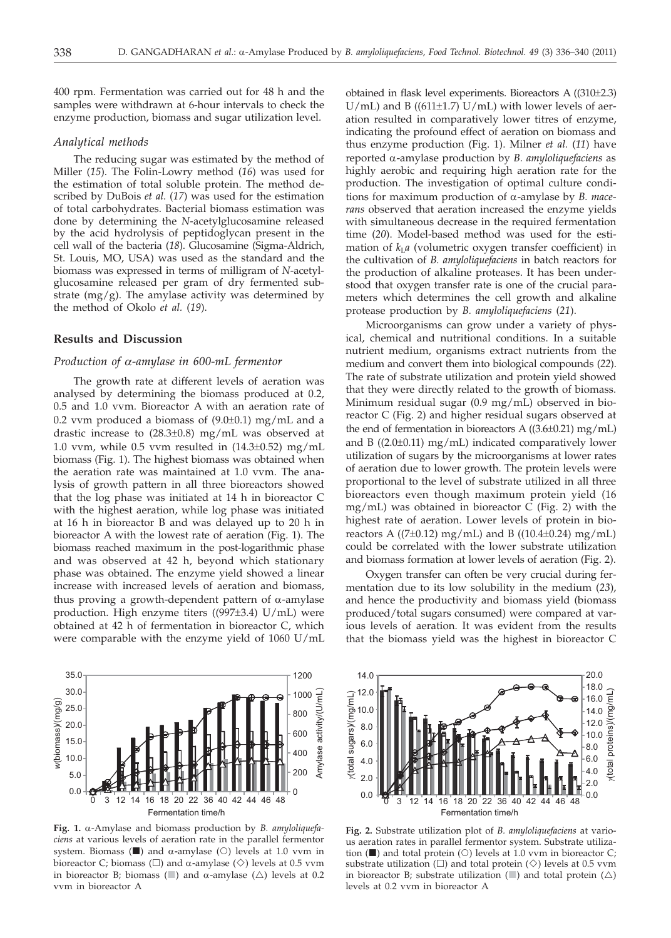400 rpm. Fermentation was carried out for 48 h and the samples were withdrawn at 6-hour intervals to check the enzyme production, biomass and sugar utilization level.

#### *Analytical methods*

The reducing sugar was estimated by the method of Miller (*15*). The Folin-Lowry method (*16*) was used for the estimation of total soluble protein. The method described by DuBois *et al.* (*17*) was used for the estimation of total carbohydrates. Bacterial biomass estimation was done by determining the *N*-acetylglucosamine released by the acid hydrolysis of peptidoglycan present in the cell wall of the bacteria (*18*). Glucosamine (Sigma-Aldrich, St. Louis, MO, USA) was used as the standard and the biomass was expressed in terms of milligram of *N*-acetylglucosamine released per gram of dry fermented substrate  $(mg/g)$ . The amylase activity was determined by the method of Okolo *et al.* (*19*).

# **Results and Discussion**

#### *Production of a-amylase in 600-mL fermentor*

The growth rate at different levels of aeration was analysed by determining the biomass produced at 0.2, 0.5 and 1.0 vvm. Bioreactor A with an aeration rate of 0.2 vvm produced a biomass of  $(9.0\pm0.1)$  mg/mL and a drastic increase to (28.3±0.8) mg/mL was observed at 1.0 vvm, while 0.5 vvm resulted in  $(14.3\pm0.52)$  mg/mL biomass (Fig. 1). The highest biomass was obtained when the aeration rate was maintained at 1.0 vvm. The analysis of growth pattern in all three bioreactors showed that the log phase was initiated at 14 h in bioreactor C with the highest aeration, while log phase was initiated at 16 h in bioreactor B and was delayed up to 20 h in bioreactor A with the lowest rate of aeration (Fig. 1). The biomass reached maximum in the post-logarithmic phase and was observed at 42 h, beyond which stationary phase was obtained. The enzyme yield showed a linear increase with increased levels of aeration and biomass, thus proving a growth-dependent pattern of  $\alpha$ -amylase production. High enzyme titers ((997±3.4) U/mL) were obtained at 42 h of fermentation in bioreactor C, which were comparable with the enzyme yield of 1060 U/mL



**Fig. 1.** a-Amylase and biomass production by *B. amyloliquefaciens* at various levels of aeration rate in the parallel fermentor system. Biomass ( $\Box$ ) and  $\alpha$ -amylase ( $\bigcirc$ ) levels at 1.0 vvm in higrescotor C; higmass ( $\bigcirc$ ) and  $\alpha$ -amylase ( $\bigcirc$ ) levels at 0.5 vym bioreactor C; biomass ( $\square$ ) and  $\alpha$ -amylase ( $\diamond$ ) levels at 0.5 vvm in bioreactor B; biomass ( $\Box$ ) and  $\alpha$ -amylase ( $\triangle$ ) levels at 0.2 vym in bioreactor A vvm in bioreactor A

obtained in flask level experiments. Bioreactors A ((310±2.3)  $U/mL$ ) and B ((611±1.7)  $U/mL$ ) with lower levels of aeration resulted in comparatively lower titres of enzyme, indicating the profound effect of aeration on biomass and thus enzyme production (Fig. 1). Milner *et al.* (*11*) have reported a-amylase production by *B. amyloliquefaciens* as highly aerobic and requiring high aeration rate for the production. The investigation of optimal culture conditions for maximum production of a-amylase by *B. macerans* observed that aeration increased the enzyme yields with simultaneous decrease in the required fermentation time (*20*). Model-based method was used for the estimation of  $k<sub>L</sub>a$  (volumetric oxygen transfer coefficient) in the cultivation of *B. amyloliquefaciens* in batch reactors for the production of alkaline proteases. It has been understood that oxygen transfer rate is one of the crucial parameters which determines the cell growth and alkaline protease production by *B. amyloliquefaciens* (*21*).

Microorganisms can grow under a variety of physical, chemical and nutritional conditions. In a suitable nutrient medium, organisms extract nutrients from the medium and convert them into biological compounds (*22*). The rate of substrate utilization and protein yield showed that they were directly related to the growth of biomass. Minimum residual sugar (0.9 mg/mL) observed in bioreactor C (Fig. 2) and higher residual sugars observed at the end of fermentation in bioreactors  $A((3.6\pm0.21)$  mg/mL) and B  $((2.0\pm0.11)$  mg/mL) indicated comparatively lower utilization of sugars by the microorganisms at lower rates of aeration due to lower growth. The protein levels were proportional to the level of substrate utilized in all three bioreactors even though maximum protein yield (16 mg/mL) was obtained in bioreactor C (Fig. 2) with the highest rate of aeration. Lower levels of protein in bioreactors A ((7 $\pm$ 0.12) mg/mL) and B ((10.4 $\pm$ 0.24) mg/mL) could be correlated with the lower substrate utilization and biomass formation at lower levels of aeration (Fig. 2).

Oxygen transfer can often be very crucial during fermentation due to its low solubility in the medium (*23*), and hence the productivity and biomass yield (biomass produced/total sugars consumed) were compared at various levels of aeration. It was evident from the results that the biomass yield was the highest in bioreactor C



**Fig. 2.** Substrate utilization plot of *B. amyloliquefaciens* at various aeration rates in parallel fermentor system. Substrate utilization  $(\blacksquare)$  and total protein  $(O)$  levels at 1.0 vvm in bioreactor  $C$ ; substrate utilization ( $\square$ ) and total protein ( $\diamond$ ) levels at 0.5 vvm in bioreactor B; substrate utilization ( $\Box$ ) and total protein ( $\triangle$ ) levels at 0.2 vvm in bioreactor A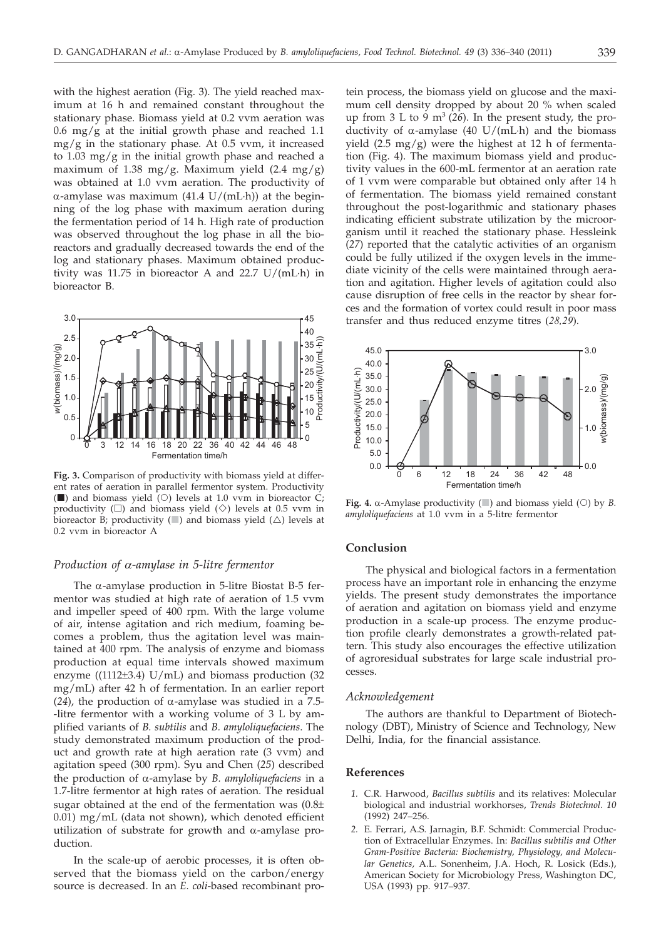with the highest aeration (Fig. 3). The yield reached maximum at 16 h and remained constant throughout the stationary phase. Biomass yield at 0.2 vvm aeration was 0.6 mg/g at the initial growth phase and reached 1.1  $mg/g$  in the stationary phase. At 0.5 vvm, it increased to 1.03 mg/g in the initial growth phase and reached a maximum of 1.38 mg/g. Maximum yield  $(2.4 \text{ mg/g})$ was obtained at 1.0 vvm aeration. The productivity of  $\alpha$ -amylase was maximum (41.4 U/(mL·h)) at the beginning of the log phase with maximum aeration during the fermentation period of 14 h. High rate of production was observed throughout the log phase in all the bioreactors and gradually decreased towards the end of the log and stationary phases. Maximum obtained productivity was 11.75 in bioreactor A and 22.7 U/(mL·h) in bioreactor B.



**Fig. 3.** Comparison of productivity with biomass yield at different rates of aeration in parallel fermentor system. Productivity  $(\blacksquare)$  and biomass yield (O) levels at 1.0 vvm in bioreactor C; productivity ( $\square$ ) and biomass yield ( $\diamond$ ) levels at 0.5 vvm in bioreactor B; productivity ( $\Box$ ) and biomass yield ( $\triangle$ ) levels at 0.2 vvm in bioreactor A

# *Production of a-amylase in 5-litre fermentor*

The  $\alpha$ -amylase production in 5-litre Biostat B-5 fermentor was studied at high rate of aeration of 1.5 vvm and impeller speed of 400 rpm. With the large volume of air, intense agitation and rich medium, foaming becomes a problem, thus the agitation level was maintained at 400 rpm. The analysis of enzyme and biomass production at equal time intervals showed maximum enzyme ( $(1112\pm3.4)$  U/mL) and biomass production (32 mg/mL) after 42 h of fermentation. In an earlier report (24), the production of  $\alpha$ -amylase was studied in a 7.5--litre fermentor with a working volume of 3 L by amplified variants of *B. subtilis* and *B. amyloliquefaciens*. The study demonstrated maximum production of the product and growth rate at high aeration rate (3 vvm) and agitation speed (300 rpm). Syu and Chen (*25*) described the production of a-amylase by *B. amyloliquefaciens* in a 1.7-litre fermentor at high rates of aeration. The residual sugar obtained at the end of the fermentation was  $(0.8\pm)$ 0.01) mg/mL (data not shown), which denoted efficient utilization of substrate for growth and  $\alpha$ -amylase production.

In the scale-up of aerobic processes, it is often observed that the biomass yield on the carbon/energy source is decreased. In an *E. coli-*based recombinant pro-

tein process, the biomass yield on glucose and the maximum cell density dropped by about 20 % when scaled up from  $3 L$  to  $9 m<sup>3</sup> (26)$ . In the present study, the productivity of  $\alpha$ -amylase (40 U/(mL·h) and the biomass yield  $(2.5 \text{ mg/g})$  were the highest at 12 h of fermentation (Fig. 4). The maximum biomass yield and productivity values in the 600-mL fermentor at an aeration rate of 1 vvm were comparable but obtained only after 14 h of fermentation. The biomass yield remained constant throughout the post-logarithmic and stationary phases indicating efficient substrate utilization by the microorganism until it reached the stationary phase. Hessleink (*27*) reported that the catalytic activities of an organism could be fully utilized if the oxygen levels in the immediate vicinity of the cells were maintained through aeration and agitation. Higher levels of agitation could also cause disruption of free cells in the reactor by shear forces and the formation of vortex could result in poor mass transfer and thus reduced enzyme titres (*28,29*).



**Fig. 4.**  $\alpha$ -Amylase productivity ( $\Box$ ) and biomass yield ( $\odot$ ) by *B.* amyloliquefaciens at 1.0 vym in a 5-litre fermentor *amyloliquefaciens* at 1.0 vvm in a 5-litre fermentor

# **Conclusion**

The physical and biological factors in a fermentation process have an important role in enhancing the enzyme yields. The present study demonstrates the importance of aeration and agitation on biomass yield and enzyme production in a scale-up process. The enzyme production profile clearly demonstrates a growth-related pattern. This study also encourages the effective utilization of agroresidual substrates for large scale industrial processes.

## *Acknowledgement*

The authors are thankful to Department of Biotechnology (DBT), Ministry of Science and Technology, New Delhi, India, for the financial assistance.

# **References**

- *1.* C.R. Harwood, *Bacillus subtilis* and its relatives: Molecular biological and industrial workhorses, *Trends Biotechnol. 10* (1992) 247–256.
- *2.* E. Ferrari, A.S. Jarnagin, B.F. Schmidt: Commercial Production of Extracellular Enzymes. In: *Bacillus subtilis and Other Gram-Positive Bacteria: Biochemistry, Physiology, and Molecular Genetics,* A.L. Sonenheim, J.A. Hoch, R. Losick (Eds.), American Society for Microbiology Press, Washington DC, USA (1993) pp. 917–937.